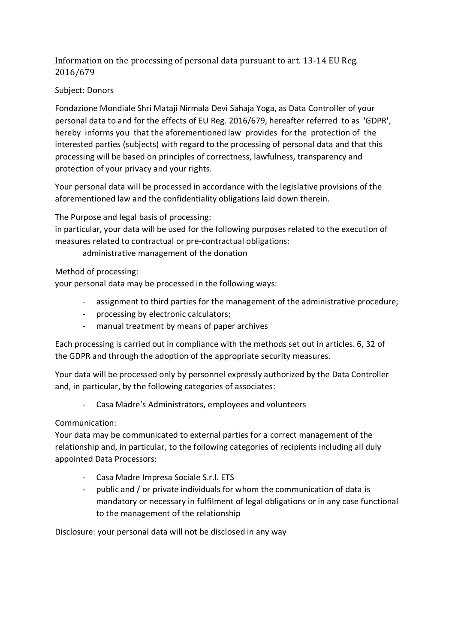Information on the processing of personal data pursuant to art. 13-14 EU Reg. 2016/679

## Subject: Donors

Fondazione Mondiale Shri Mataji Nirmala Devi Sahaja Yoga, as Data Controller of your personal data to and for the effects of EU Reg. 2016/679, hereafter referred to as 'GDPR', hereby informs you that the aforementioned law provides for the protection of the interested parties (subjects) with regard to the processing of personal data and that this processing will be based on principles of correctness, lawfulness, transparency and protection of your privacy and your rights.

Your personal data will be processed in accordance with the legislative provisions of the aforementioned law and the confidentiality obligations laid down therein.

The Purpose and legal basis of processing:

in particular, your data will be used for the following purposes related to the execution of measures related to contractual or pre-contractual obligations:

administrative management of the donation

Method of processing:

your personal data may be processed in the following ways:

- assignment to third parties for the management of the administrative procedure;
- processing by electronic calculators;
- manual treatment by means of paper archives

Each processing is carried out in compliance with the methods set out in articles. 6, 32 of the GDPR and through the adoption of the appropriate security measures.

Your data will be processed only by personnel expressly authorized by the Data Controller and, in particular, by the following categories of associates:

- Casa Madre's Administrators, employees and volunteers

Communication:

Your data may be communicated to external parties for a correct management of the relationship and, in particular, to the following categories of recipients including all duly appointed Data Processors:

- Casa Madre Impresa Sociale S.r.l. ETS
- public and / or private individuals for whom the communication of data is mandatory or necessary in fulfilment of legal obligations or in any case functional to the management of the relationship

Disclosure: your personal data will not be disclosed in any way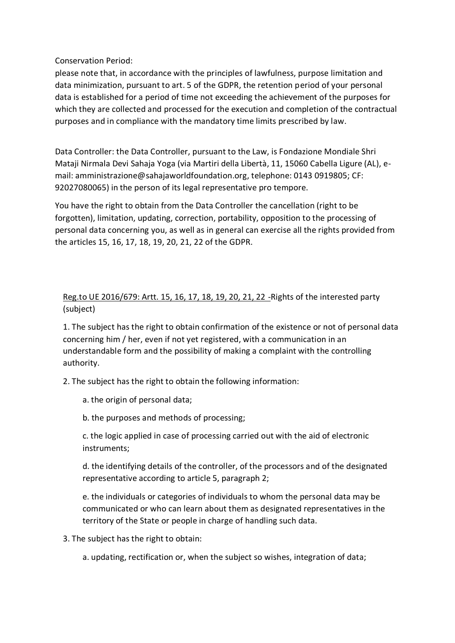Conservation Period:

please note that, in accordance with the principles of lawfulness, purpose limitation and data minimization, pursuant to art. 5 of the GDPR, the retention period of your personal data is established for a period of time not exceeding the achievement of the purposes for which they are collected and processed for the execution and completion of the contractual purposes and in compliance with the mandatory time limits prescribed by law.

Data Controller: the Data Controller, pursuant to the Law, is Fondazione Mondiale Shri Mataji Nirmala Devi Sahaja Yoga (via Martiri della Libertà, 11, 15060 Cabella Ligure (AL), email: amministrazione@sahajaworldfoundation.org, telephone: 0143 0919805; CF: 92027080065) in the person of its legal representative pro tempore.

You have the right to obtain from the Data Controller the cancellation (right to be forgotten), limitation, updating, correction, portability, opposition to the processing of personal data concerning you, as well as in general can exercise all the rights provided from the articles 15, 16, 17, 18, 19, 20, 21, 22 of the GDPR.

## Reg.to UE 2016/679: Artt. 15, 16, 17, 18, 19, 20, 21, 22 -Rights of the interested party (subject)

1. The subject has the right to obtain confirmation of the existence or not of personal data concerning him / her, even if not yet registered, with a communication in an understandable form and the possibility of making a complaint with the controlling authority.

2. The subject has the right to obtain the following information:

a. the origin of personal data;

b. the purposes and methods of processing;

c. the logic applied in case of processing carried out with the aid of electronic instruments;

d. the identifying details of the controller, of the processors and of the designated representative according to article 5, paragraph 2;

e. the individuals or categories of individuals to whom the personal data may be communicated or who can learn about them as designated representatives in the territory of the State or people in charge of handling such data.

- 3. The subject has the right to obtain:
	- a. updating, rectification or, when the subject so wishes, integration of data;